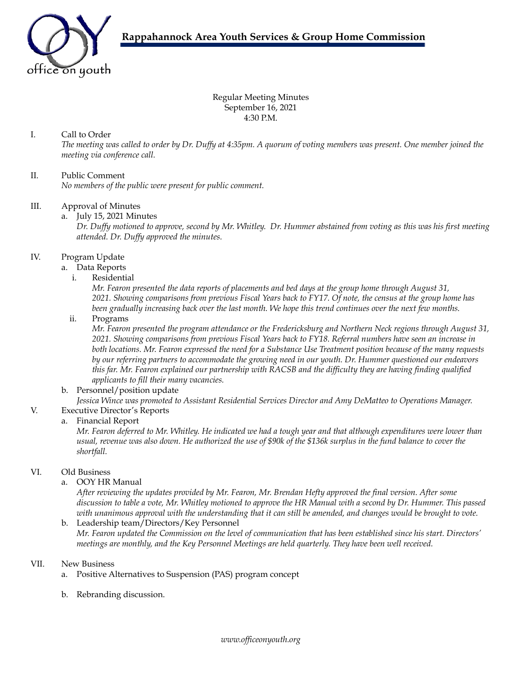

Regular Meeting Minutes September 16, 2021 4:30 P.M.

## I. Call to Order

The meeting was called to order by Dr. Duffy at 4:35pm. A quorum of voting members was present. One member joined the *meeting via conference call.*

# II. Public Comment

*No members of the public were present for public comment.*

### III. Approval of Minutes

a. July 15, 2021 Minutes

Dr. Duffy motioned to approve, second by Mr. Whitley. Dr. Hummer abstained from voting as this was his first meeting *attended. Dr. Duf y approved the minutes.*

### IV. Program Update

- a. Data Reports
	- i. Residential

Mr. Fearon presented the data reports of placements and bed days at the group home through August 31, 2021. Showing comparisons from previous Fiscal Years back to FY17. Of note, the census at the group home has been gradually increasing back over the last month. We hope this trend continues over the next few months.

ii. Programs

*Mr. Fearon presented the program attendance or the Fredericksburg and Northern Neck regions through August 31,* 2021. Showing comparisons from previous Fiscal Years back to FY18. Referral numbers have seen an increase in both locations. Mr. Fearon expressed the need for a Substance Use Treatment position because of the many requests by our referring partners to accommodate the growing need in our youth. Dr. Hummer questioned our endeavors this far. Mr. Fearon explained our partnership with RACSB and the difficulty they are having finding qualified *applicants to fill their many vacancies.*

### b. Personnel/position update

*Jessica Wince was promoted to Assistant Residential Services Director and Amy DeMatteo to Operations Manager.*

V. Executive Director's Reports

#### a. Financial Report

Mr. Fearon deferred to Mr. Whitley. He indicated we had a tough year and that although expenditures were lower than usual, revenue was also down. He authorized the use of \$90k of the \$136k surplus in the fund balance to cover the *shortfall.*

#### VI. Old Business

a. OOY HR Manual

After reviewing the updates provided by Mr. Fearon, Mr. Brendan Hefty approved the final version. After some discussion to table a vote, Mr. Whitley motioned to approve the HR Manual with a second by Dr. Hummer. This passed with unanimous approval with the understanding that it can still be amended, and changes would be brought to vote.

b. Leadership team/Directors/Key Personnel Mr. Fearon updated the Commission on the level of communication that has been established since his start. Directors' *meetings are monthly, and the Key Personnel Meetings are held quarterly. They have been well received.*

#### VII. New Business

- a. Positive Alternatives to Suspension (PAS) program concept
- b. Rebranding discussion.